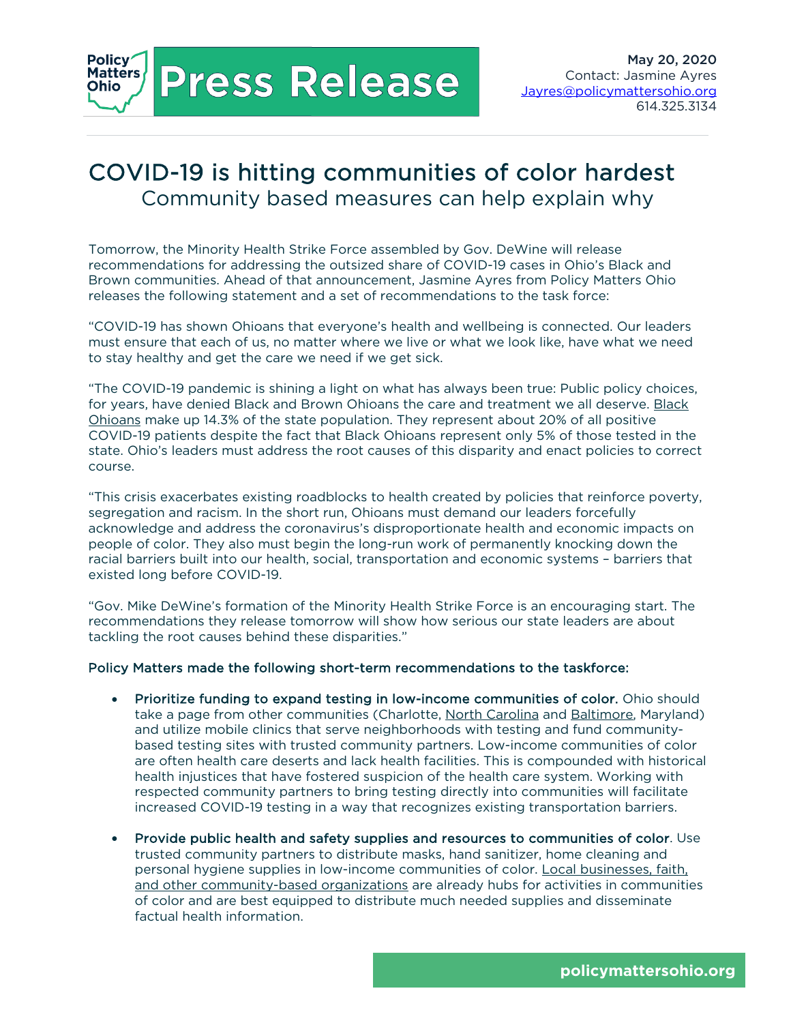**Press Release** 

Policy'

Matters **Ohio** 

## COVID-19 is hitting communities of color hardest Community based measures can help explain why

Tomorrow, the Minority Health Strike Force assembled by Gov. DeWine will release recommendations for addressing the outsized share of COVID-19 cases in Ohio's Black and Brown communities. Ahead of that announcement, Jasmine Ayres from Policy Matters Ohio releases the following statement and a set of recommendations to the task force:

"COVID-19 has shown Ohioans that everyone's health and wellbeing is connected. Our leaders must ensure that each of us, no matter where we live or what we look like, have what we need to stay healthy and get the care we need if we get sick.

"The COVID-19 pandemic is shining a light on what has always been true: Public policy choices, for years, have denied Black and Brown Ohioans the care and treatment we all deserve. Black Ohioans make up 14.3% of the state population. They represent about 20% of all positive COVID-19 patients despite the fact that Black Ohioans represent only 5% of those tested in the state. Ohio's leaders must address the root causes of this disparity and enact policies to correct course.

"This crisis exacerbates existing roadblocks to health created by policies that reinforce poverty, segregation and racism. In the short run, Ohioans must demand our leaders forcefully acknowledge and address the coronavirus's disproportionate health and economic impacts on people of color. They also must begin the long-run work of permanently knocking down the racial barriers built into our health, social, transportation and economic systems – barriers that existed long before COVID-19.

"Gov. Mike DeWine's formation of the Minority Health Strike Force is an encouraging start. The recommendations they release tomorrow will show how serious our state leaders are about tackling the root causes behind these disparities."

## Policy Matters made the following short-term recommendations to the taskforce:

- Prioritize funding to expand testing in low-income communities of color. Ohio should take a page from other communities (Charlotte, North Carolina and Baltimore, Maryland) and utilize mobile clinics that serve neighborhoods with testing and fund communitybased testing sites with trusted community partners. Low-income communities of color are often health care deserts and lack health facilities. This is compounded with historical health injustices that have fostered suspicion of the health care system. Working with respected community partners to bring testing directly into communities will facilitate increased COVID-19 testing in a way that recognizes existing transportation barriers.
- Provide public health and safety supplies and resources to communities of color. Use trusted community partners to distribute masks, hand sanitizer, home cleaning and personal hygiene supplies in low-income communities of color. Local businesses, faith, and other community-based organizations are already hubs for activities in communities of color and are best equipped to distribute much needed supplies and disseminate factual health information.